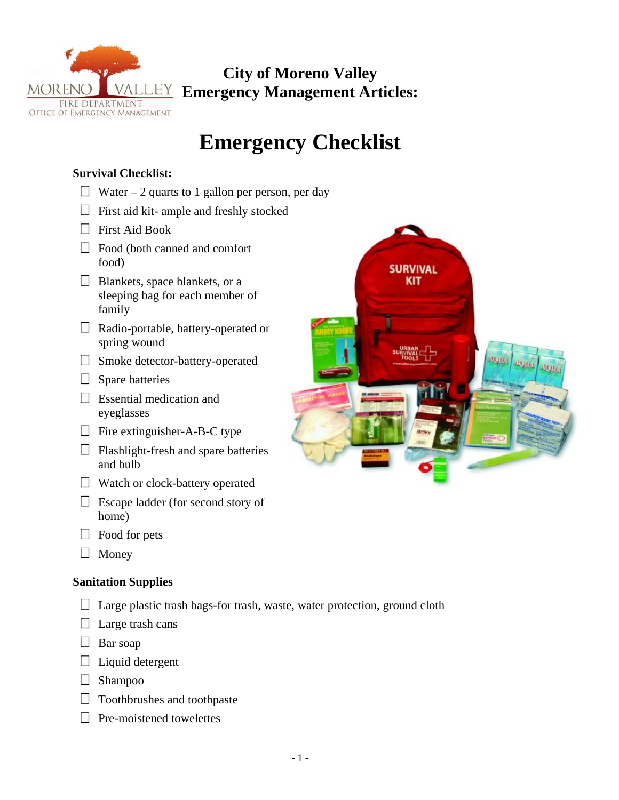

# **City of Moreno Valley Emergency Management Articles:**

# **Emergency Checklist**

# **Survival Checklist:**

- $\Box$  Water 2 quarts to 1 gallon per person, per day
- $\Box$  First aid kit- ample and freshly stocked
- □ First Aid Book
- $\Box$  Food (both canned and comfort food)
- $\Box$  Blankets, space blankets, or a sleeping bag for each member of family
- □ Radio-portable, battery-operated or spring wound
- $\Box$  Smoke detector-battery-operated
- $\Box$  Spare batteries
- $\square$  Essential medication and eyeglasses
- $\Box$  Fire extinguisher-A-B-C type
- $\Box$  Flashlight-fresh and spare batteries and bulb
- $\Box$  Watch or clock-battery operated
- $\Box$  Escape ladder (for second story of home)
- $\Box$  Food for pets
- $\Box$  Money

#### **Sanitation Supplies**

- $\Box$  Large plastic trash bags-for trash, waste, water protection, ground cloth
- $\Box$  Large trash cans
- □ Bar soap
- $\Box$  Liquid detergent
- $\Box$  Shampoo
- $\Box$  Toothbrushes and toothpaste
- $\Box$  Pre-moistened towelettes

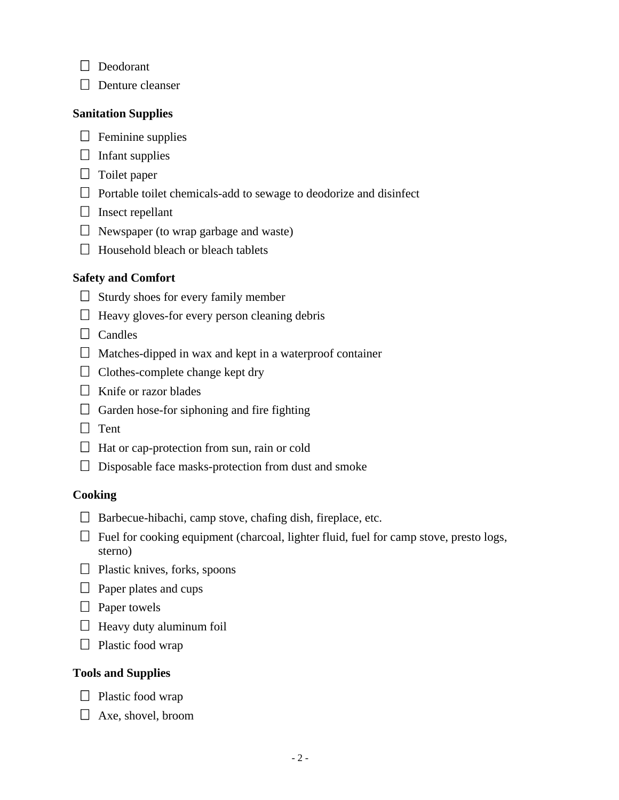- Deodorant
- $\Box$  Denture cleanser

#### **Sanitation Supplies**

- $\Box$  Feminine supplies
- $\Box$  Infant supplies
- $\Box$  Toilet paper
- $\Box$  Portable toilet chemicals-add to sewage to deodorize and disinfect
- $\Box$  Insect repellant
- $\Box$  Newspaper (to wrap garbage and waste)
- $\Box$  Household bleach or bleach tablets

### **Safety and Comfort**

- $\Box$  Sturdy shoes for every family member
- $\Box$  Heavy gloves-for every person cleaning debris
- $\Box$  Candles
- $\Box$  Matches-dipped in wax and kept in a waterproof container
- $\Box$  Clothes-complete change kept dry
- $\Box$  Knife or razor blades
- $\Box$  Garden hose-for siphoning and fire fighting
- $\Box$  Tent
- $\Box$  Hat or cap-protection from sun, rain or cold
- $\Box$  Disposable face masks-protection from dust and smoke

## **Cooking**

- $\Box$  Barbecue-hibachi, camp stove, chafing dish, fireplace, etc.
- $\Box$  Fuel for cooking equipment (charcoal, lighter fluid, fuel for camp stove, presto logs, sterno)
- $\Box$  Plastic knives, forks, spoons
- $\Box$  Paper plates and cups
- $\Box$  Paper towels
- $\Box$  Heavy duty aluminum foil
- $\Box$  Plastic food wrap

#### **Tools and Supplies**

- $\Box$  Plastic food wrap
- $\Box$  Axe, shovel, broom